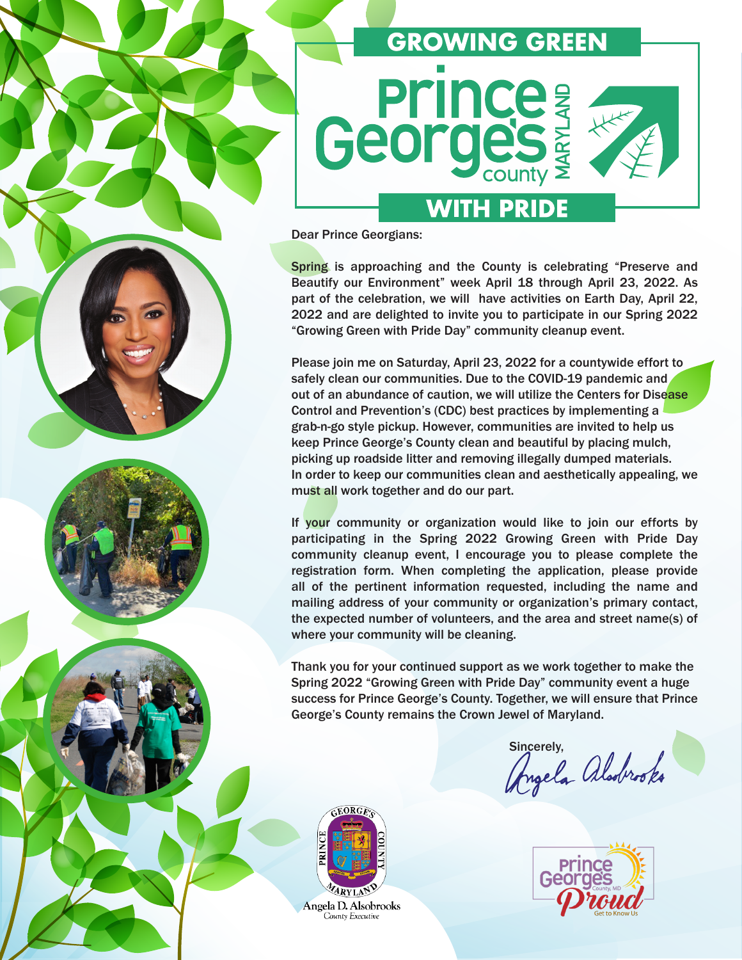

Dear Prince Georgians:

Spring is approaching and the County is celebrating "Preserve and Beautify our Environment" week April 18 through April 23, 2022. As part of the celebration, we will have activities on Earth Day, April 22, 2022 and are delighted to invite you to participate in our Spring 2022 "Growing Green with Pride Day" community cleanup event.

Please join me on Saturday, April 23, 2022 for a countywide effort to safely clean our communities. Due to the COVID-19 pandemic and out of an abundance of caution, we will utilize the Centers for Disease Control and Prevention's (CDC) best practices by implementing a grab-n-go style pickup. However, communities are invited to help us keep Prince George's County clean and beautiful by placing mulch, picking up roadside litter and removing illegally dumped materials. In order to keep our communities clean and aesthetically appealing, we must all work together and do our part.

If your community or organization would like to join our efforts by participating in the Spring 2022 Growing Green with Pride Day community cleanup event, I encourage you to please complete the registration form. When completing the application, please provide all of the pertinent information requested, including the name and mailing address of your community or organization's primary contact, the expected number of volunteers, and the area and street name(s) of where your community will be cleaning.

Thank you for your continued support as we work together to make the Spring 2022 "Growing Green with Pride Day" community event a huge success for Prince George's County. Together, we will ensure that Prince George's County remains the Crown Jewel of Maryland.

sincerely,<br>Angela alodrooks





Angela D. Alsobrooks County Executive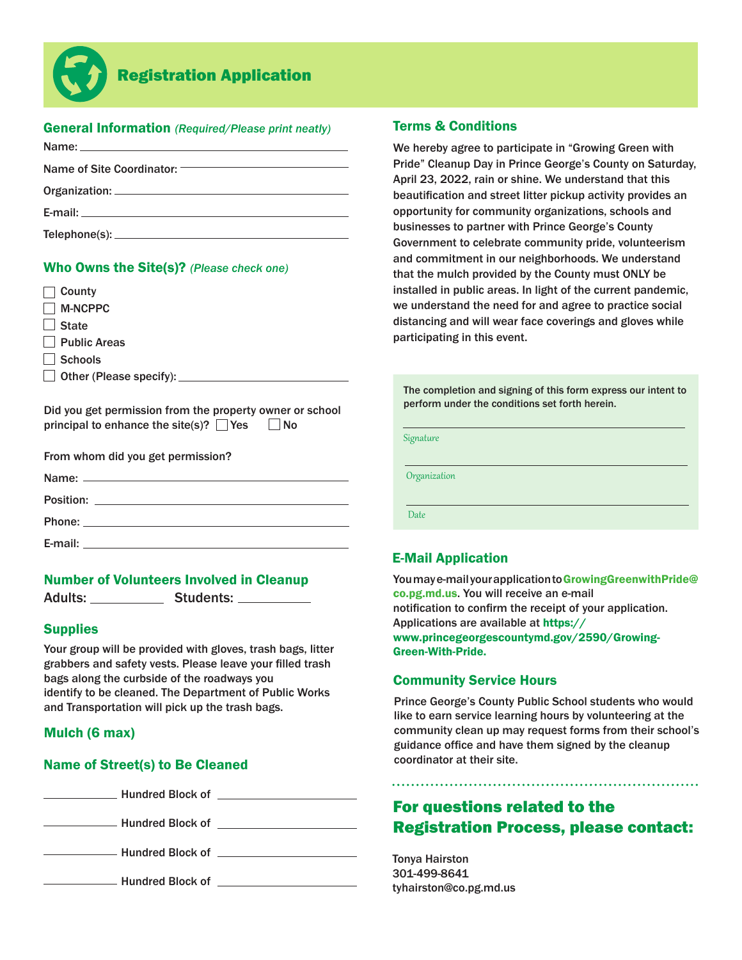

# Registration Application

## General Information *(Required/Please print neatly)*

| <b>E-mail:</b> E-mail: |  |
|------------------------|--|
|                        |  |

#### Who Owns the Site(s)? *(Please check one)*

| County                                                                                                             |
|--------------------------------------------------------------------------------------------------------------------|
| <b>M-NCPPC</b>                                                                                                     |
| <b>State</b>                                                                                                       |
| Public Areas                                                                                                       |
| Schools                                                                                                            |
| $\Box$ Other (Please specify): $\Box$                                                                              |
|                                                                                                                    |
| Did you get permission from the property owner or school<br>principal to enhance the site(s)? $\Box$ Yes $\Box$ No |
| From whom did you get permission?                                                                                  |
| Name:                                                                                                              |

|           | $\frac{1}{2}$ |  |
|-----------|---------------|--|
| Position: |               |  |
|           |               |  |
| Phone:    |               |  |
| E-mail:   |               |  |

#### Number of Volunteers Involved in Cleanup

Adults: Students: Charles Students:

#### **Supplies**

Your group will be provided with gloves, trash bags, litter grabbers and safety vests. Please leave your filled trash bags along the curbside of the roadways you identify to be cleaned. The Department of Public Works and Transportation will pick up the trash bags.

#### Mulch (6 max)

#### Name of Street(s) to Be Cleaned

Mundred Block of **Constanting Street Block of Allen Constanting Street Block** 

**Example 20 Hundred Block of Example 20 Hundred Block of** 

Hundred Block of

Hundred Block of **Exercise 2018** 

#### Terms & Conditions

We hereby agree to participate in "Growing Green with Pride" Cleanup Day in Prince George's County on Saturday, April 23, 2022, rain or shine. We understand that this beautification and street litter pickup activity provides an opportunity for community organizations, schools and businesses to partner with Prince George's County Government to celebrate community pride, volunteerism and commitment in our neighborhoods. We understand that the mulch provided by the County must ONLY be installed in public areas. In light of the current pandemic, we understand the need for and agree to practice social distancing and will wear face coverings and gloves while participating in this event.

The completion and signing of this form express our intent to perform under the conditions set forth herein.

Signature

**Organization** 

**Date** 

## E-Mail Application

You may e-mail your application to GrowingGreenwithPride@ co.pg.md.us. You will receive an e-mail notification to confirm the receipt of your application. Applications are available at https:// www.princegeorgescountymd.gov/2590/Growing-Green-With-Pride.

## Community Service Hours

Prince George's County Public School students who would like to earn service learning hours by volunteering at the community clean up may request forms from their school's guidance office and have them signed by the cleanup coordinator at their site.

## For questions related to the Registration Process, please contact:

Tonya Hairston 301-499-8641 tyhairston@co.pg.md.us